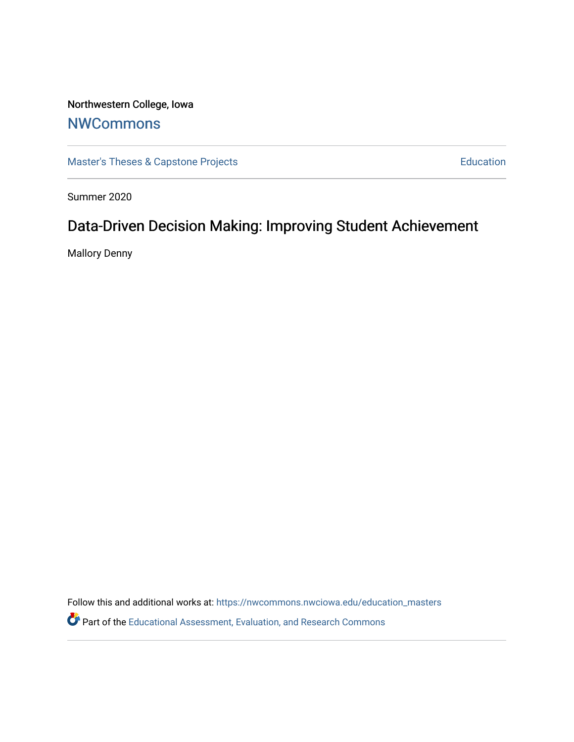Northwestern College, Iowa

# **[NWCommons](https://nwcommons.nwciowa.edu/)**

[Master's Theses & Capstone Projects](https://nwcommons.nwciowa.edu/education_masters) **Education** Education

Summer 2020

# Data-Driven Decision Making: Improving Student Achievement

Mallory Denny

Follow this and additional works at: [https://nwcommons.nwciowa.edu/education\\_masters](https://nwcommons.nwciowa.edu/education_masters?utm_source=nwcommons.nwciowa.edu%2Feducation_masters%2F231&utm_medium=PDF&utm_campaign=PDFCoverPages)

Part of the [Educational Assessment, Evaluation, and Research Commons](http://network.bepress.com/hgg/discipline/796?utm_source=nwcommons.nwciowa.edu%2Feducation_masters%2F231&utm_medium=PDF&utm_campaign=PDFCoverPages)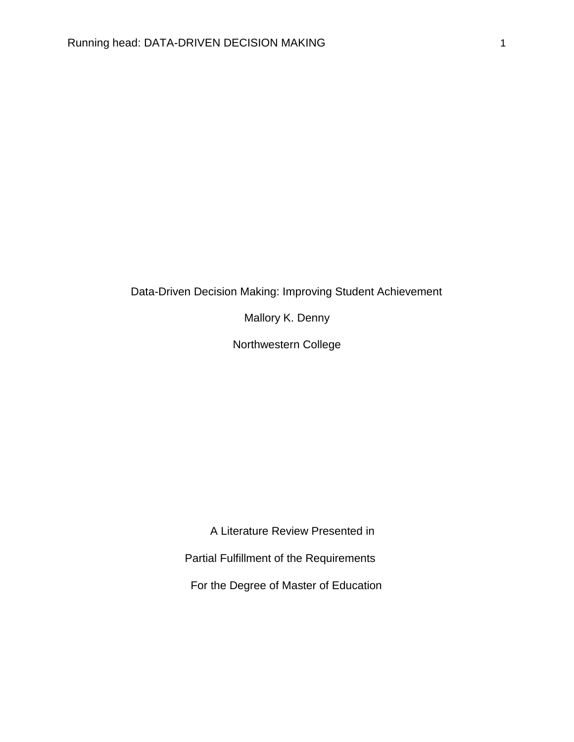### Data-Driven Decision Making: Improving Student Achievement

Mallory K. Denny

Northwestern College

A Literature Review Presented in

Partial Fulfillment of the Requirements

For the Degree of Master of Education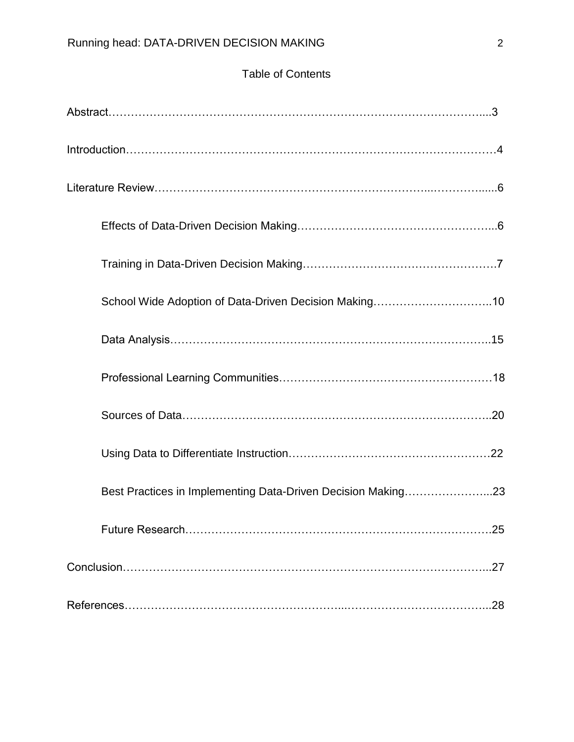## Table of Contents

| School Wide Adoption of Data-Driven Decision Making10        |     |
|--------------------------------------------------------------|-----|
|                                                              |     |
|                                                              |     |
|                                                              |     |
|                                                              |     |
| Best Practices in Implementing Data-Driven Decision Making23 |     |
|                                                              |     |
|                                                              | .27 |
|                                                              |     |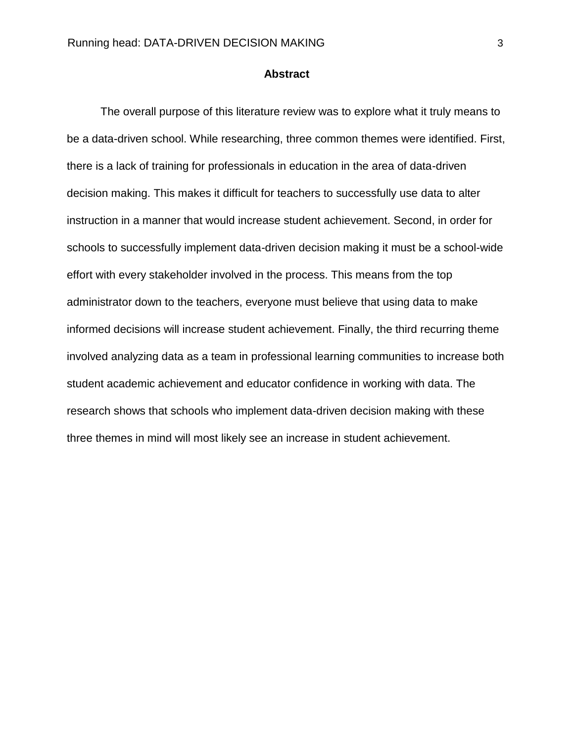#### **Abstract**

The overall purpose of this literature review was to explore what it truly means to be a data-driven school. While researching, three common themes were identified. First, there is a lack of training for professionals in education in the area of data-driven decision making. This makes it difficult for teachers to successfully use data to alter instruction in a manner that would increase student achievement. Second, in order for schools to successfully implement data-driven decision making it must be a school-wide effort with every stakeholder involved in the process. This means from the top administrator down to the teachers, everyone must believe that using data to make informed decisions will increase student achievement. Finally, the third recurring theme involved analyzing data as a team in professional learning communities to increase both student academic achievement and educator confidence in working with data. The research shows that schools who implement data-driven decision making with these three themes in mind will most likely see an increase in student achievement.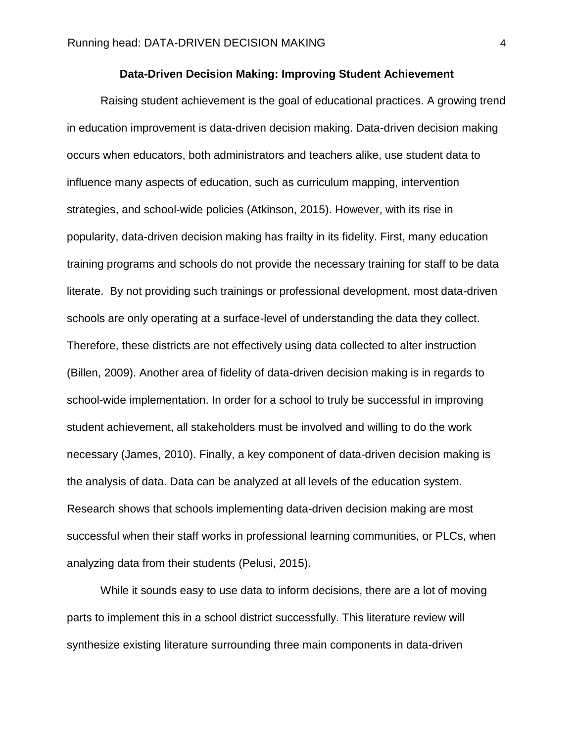#### **Data-Driven Decision Making: Improving Student Achievement**

Raising student achievement is the goal of educational practices. A growing trend in education improvement is data-driven decision making. Data-driven decision making occurs when educators, both administrators and teachers alike, use student data to influence many aspects of education, such as curriculum mapping, intervention strategies, and school-wide policies (Atkinson, 2015). However, with its rise in popularity, data-driven decision making has frailty in its fidelity. First, many education training programs and schools do not provide the necessary training for staff to be data literate. By not providing such trainings or professional development, most data-driven schools are only operating at a surface-level of understanding the data they collect. Therefore, these districts are not effectively using data collected to alter instruction (Billen, 2009). Another area of fidelity of data-driven decision making is in regards to school-wide implementation. In order for a school to truly be successful in improving student achievement, all stakeholders must be involved and willing to do the work necessary (James, 2010). Finally, a key component of data-driven decision making is the analysis of data. Data can be analyzed at all levels of the education system. Research shows that schools implementing data-driven decision making are most successful when their staff works in professional learning communities, or PLCs, when analyzing data from their students (Pelusi, 2015).

While it sounds easy to use data to inform decisions, there are a lot of moving parts to implement this in a school district successfully. This literature review will synthesize existing literature surrounding three main components in data-driven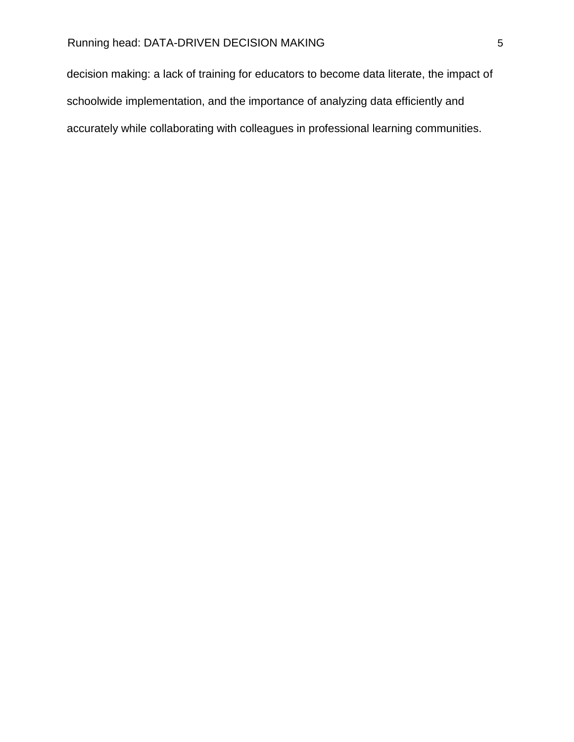decision making: a lack of training for educators to become data literate, the impact of schoolwide implementation, and the importance of analyzing data efficiently and accurately while collaborating with colleagues in professional learning communities.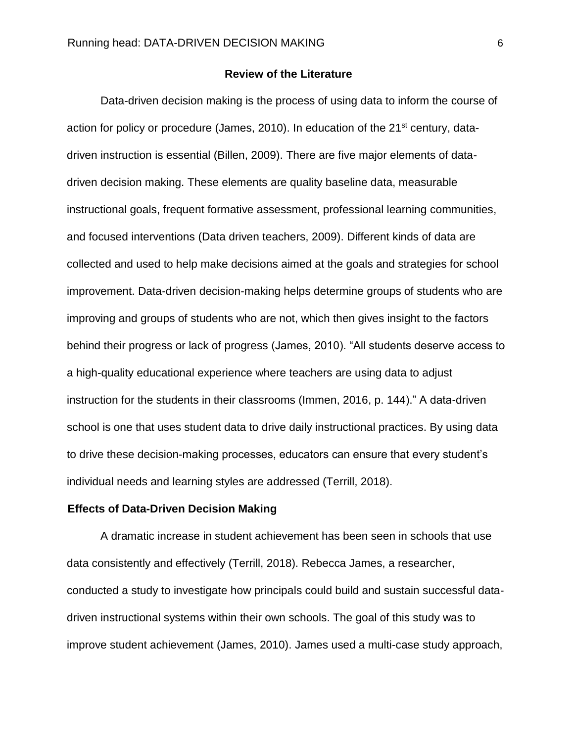#### **Review of the Literature**

Data-driven decision making is the process of using data to inform the course of action for policy or procedure (James, 2010). In education of the 21<sup>st</sup> century, datadriven instruction is essential (Billen, 2009). There are five major elements of datadriven decision making. These elements are quality baseline data, measurable instructional goals, frequent formative assessment, professional learning communities, and focused interventions (Data driven teachers, 2009). Different kinds of data are collected and used to help make decisions aimed at the goals and strategies for school improvement. Data-driven decision-making helps determine groups of students who are improving and groups of students who are not, which then gives insight to the factors behind their progress or lack of progress (James, 2010). "All students deserve access to a high-quality educational experience where teachers are using data to adjust instruction for the students in their classrooms (Immen, 2016, p. 144)." A data-driven school is one that uses student data to drive daily instructional practices. By using data to drive these decision-making processes, educators can ensure that every student's individual needs and learning styles are addressed (Terrill, 2018).

#### **Effects of Data-Driven Decision Making**

A dramatic increase in student achievement has been seen in schools that use data consistently and effectively (Terrill, 2018). Rebecca James, a researcher, conducted a study to investigate how principals could build and sustain successful datadriven instructional systems within their own schools. The goal of this study was to improve student achievement (James, 2010). James used a multi-case study approach,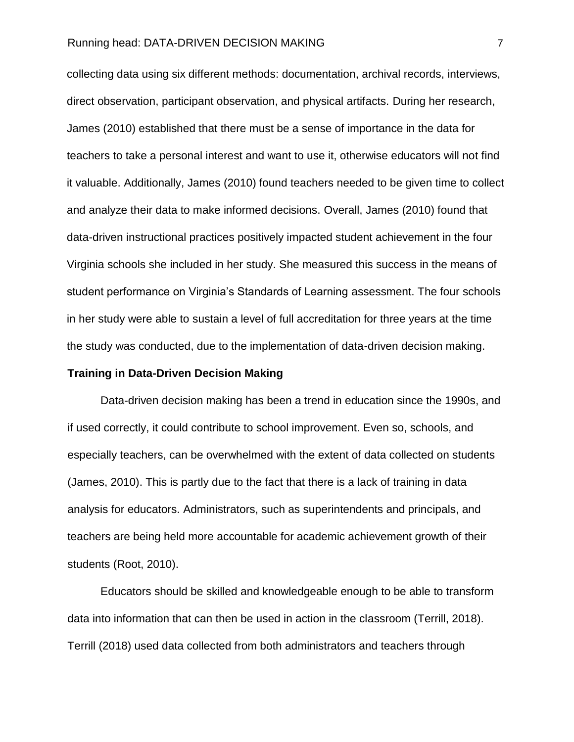collecting data using six different methods: documentation, archival records, interviews, direct observation, participant observation, and physical artifacts. During her research, James (2010) established that there must be a sense of importance in the data for teachers to take a personal interest and want to use it, otherwise educators will not find it valuable. Additionally, James (2010) found teachers needed to be given time to collect and analyze their data to make informed decisions. Overall, James (2010) found that data-driven instructional practices positively impacted student achievement in the four Virginia schools she included in her study. She measured this success in the means of student performance on Virginia's Standards of Learning assessment. The four schools in her study were able to sustain a level of full accreditation for three years at the time the study was conducted, due to the implementation of data-driven decision making.

#### **Training in Data-Driven Decision Making**

Data-driven decision making has been a trend in education since the 1990s, and if used correctly, it could contribute to school improvement. Even so, schools, and especially teachers, can be overwhelmed with the extent of data collected on students (James, 2010). This is partly due to the fact that there is a lack of training in data analysis for educators. Administrators, such as superintendents and principals, and teachers are being held more accountable for academic achievement growth of their students (Root, 2010).

Educators should be skilled and knowledgeable enough to be able to transform data into information that can then be used in action in the classroom (Terrill, 2018). Terrill (2018) used data collected from both administrators and teachers through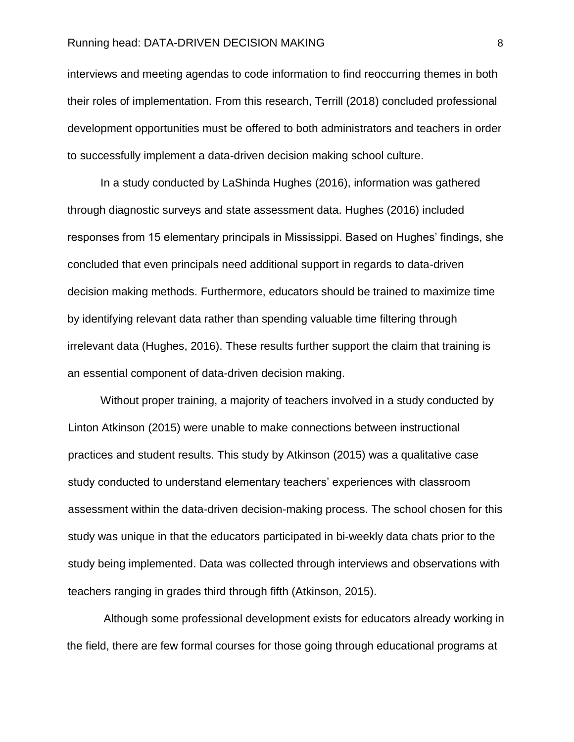interviews and meeting agendas to code information to find reoccurring themes in both their roles of implementation. From this research, Terrill (2018) concluded professional development opportunities must be offered to both administrators and teachers in order to successfully implement a data-driven decision making school culture.

In a study conducted by LaShinda Hughes (2016), information was gathered through diagnostic surveys and state assessment data. Hughes (2016) included responses from 15 elementary principals in Mississippi. Based on Hughes' findings, she concluded that even principals need additional support in regards to data-driven decision making methods. Furthermore, educators should be trained to maximize time by identifying relevant data rather than spending valuable time filtering through irrelevant data (Hughes, 2016). These results further support the claim that training is an essential component of data-driven decision making.

Without proper training, a majority of teachers involved in a study conducted by Linton Atkinson (2015) were unable to make connections between instructional practices and student results. This study by Atkinson (2015) was a qualitative case study conducted to understand elementary teachers' experiences with classroom assessment within the data-driven decision-making process. The school chosen for this study was unique in that the educators participated in bi-weekly data chats prior to the study being implemented. Data was collected through interviews and observations with teachers ranging in grades third through fifth (Atkinson, 2015).

Although some professional development exists for educators already working in the field, there are few formal courses for those going through educational programs at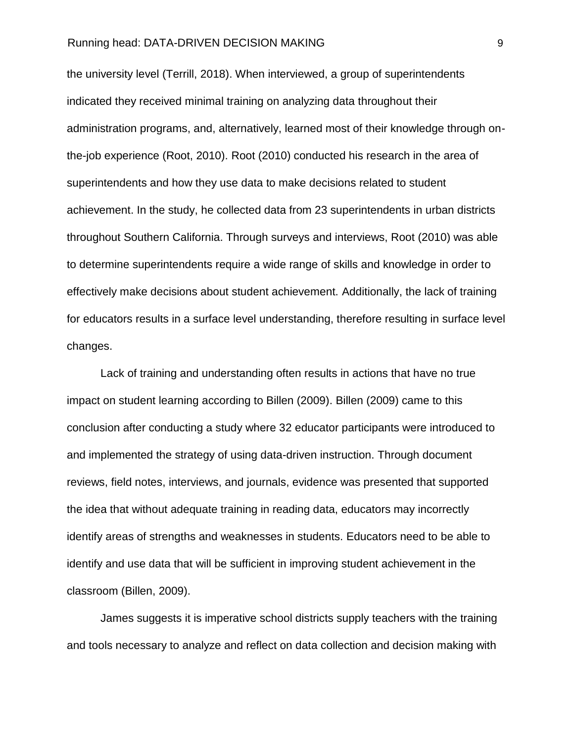the university level (Terrill, 2018). When interviewed, a group of superintendents indicated they received minimal training on analyzing data throughout their administration programs, and, alternatively, learned most of their knowledge through onthe-job experience (Root, 2010). Root (2010) conducted his research in the area of superintendents and how they use data to make decisions related to student achievement. In the study, he collected data from 23 superintendents in urban districts throughout Southern California. Through surveys and interviews, Root (2010) was able to determine superintendents require a wide range of skills and knowledge in order to effectively make decisions about student achievement. Additionally, the lack of training for educators results in a surface level understanding, therefore resulting in surface level changes.

Lack of training and understanding often results in actions that have no true impact on student learning according to Billen (2009). Billen (2009) came to this conclusion after conducting a study where 32 educator participants were introduced to and implemented the strategy of using data-driven instruction. Through document reviews, field notes, interviews, and journals, evidence was presented that supported the idea that without adequate training in reading data, educators may incorrectly identify areas of strengths and weaknesses in students. Educators need to be able to identify and use data that will be sufficient in improving student achievement in the classroom (Billen, 2009).

James suggests it is imperative school districts supply teachers with the training and tools necessary to analyze and reflect on data collection and decision making with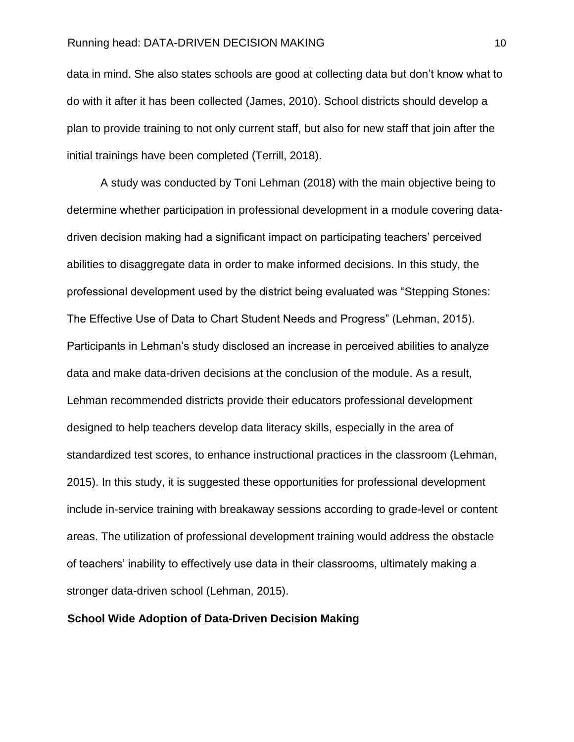data in mind. She also states schools are good at collecting data but don't know what to do with it after it has been collected (James, 2010). School districts should develop a plan to provide training to not only current staff, but also for new staff that join after the initial trainings have been completed (Terrill, 2018).

A study was conducted by Toni Lehman (2018) with the main objective being to determine whether participation in professional development in a module covering datadriven decision making had a significant impact on participating teachers' perceived abilities to disaggregate data in order to make informed decisions. In this study, the professional development used by the district being evaluated was "Stepping Stones: The Effective Use of Data to Chart Student Needs and Progress" (Lehman, 2015). Participants in Lehman's study disclosed an increase in perceived abilities to analyze data and make data-driven decisions at the conclusion of the module. As a result, Lehman recommended districts provide their educators professional development designed to help teachers develop data literacy skills, especially in the area of standardized test scores, to enhance instructional practices in the classroom (Lehman, 2015). In this study, it is suggested these opportunities for professional development include in-service training with breakaway sessions according to grade-level or content areas. The utilization of professional development training would address the obstacle of teachers' inability to effectively use data in their classrooms, ultimately making a stronger data-driven school (Lehman, 2015).

#### **School Wide Adoption of Data-Driven Decision Making**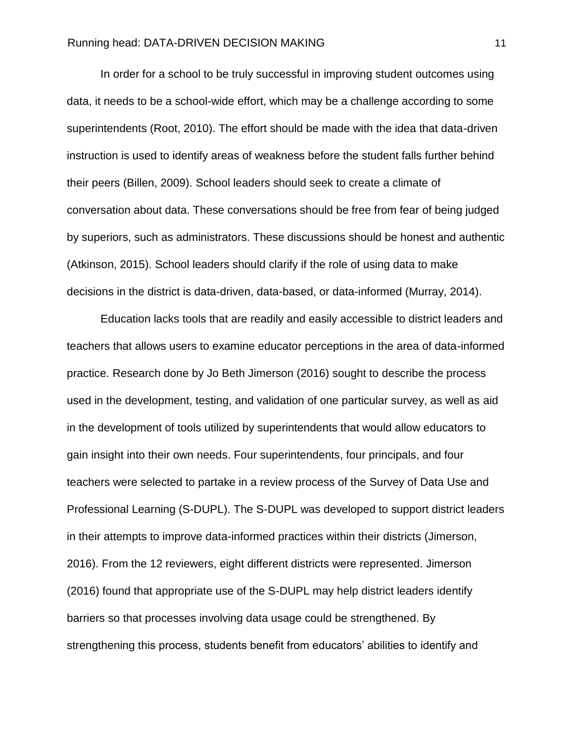In order for a school to be truly successful in improving student outcomes using data, it needs to be a school-wide effort, which may be a challenge according to some superintendents (Root, 2010). The effort should be made with the idea that data-driven instruction is used to identify areas of weakness before the student falls further behind their peers (Billen, 2009). School leaders should seek to create a climate of conversation about data. These conversations should be free from fear of being judged by superiors, such as administrators. These discussions should be honest and authentic (Atkinson, 2015). School leaders should clarify if the role of using data to make decisions in the district is data-driven, data-based, or data-informed (Murray, 2014).

Education lacks tools that are readily and easily accessible to district leaders and teachers that allows users to examine educator perceptions in the area of data-informed practice. Research done by Jo Beth Jimerson (2016) sought to describe the process used in the development, testing, and validation of one particular survey, as well as aid in the development of tools utilized by superintendents that would allow educators to gain insight into their own needs. Four superintendents, four principals, and four teachers were selected to partake in a review process of the Survey of Data Use and Professional Learning (S-DUPL). The S-DUPL was developed to support district leaders in their attempts to improve data-informed practices within their districts (Jimerson, 2016). From the 12 reviewers, eight different districts were represented. Jimerson (2016) found that appropriate use of the S-DUPL may help district leaders identify barriers so that processes involving data usage could be strengthened. By strengthening this process, students benefit from educators' abilities to identify and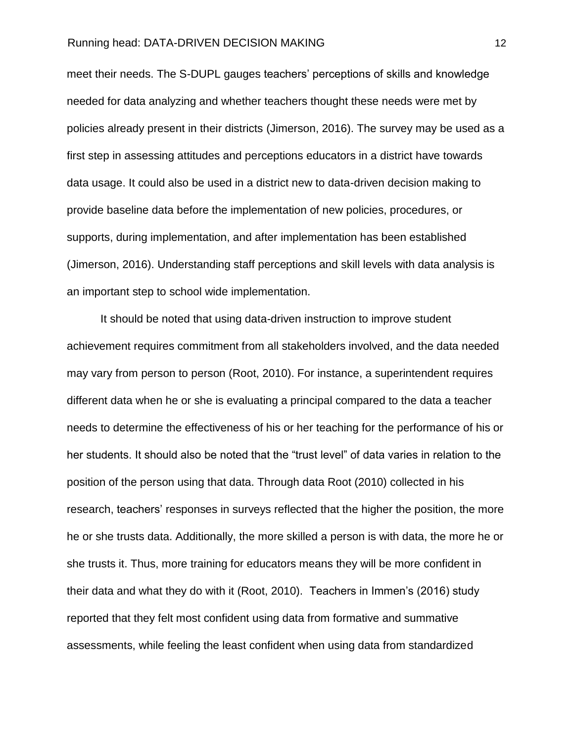meet their needs. The S-DUPL gauges teachers' perceptions of skills and knowledge needed for data analyzing and whether teachers thought these needs were met by policies already present in their districts (Jimerson, 2016). The survey may be used as a first step in assessing attitudes and perceptions educators in a district have towards data usage. It could also be used in a district new to data-driven decision making to provide baseline data before the implementation of new policies, procedures, or supports, during implementation, and after implementation has been established (Jimerson, 2016). Understanding staff perceptions and skill levels with data analysis is an important step to school wide implementation.

It should be noted that using data-driven instruction to improve student achievement requires commitment from all stakeholders involved, and the data needed may vary from person to person (Root, 2010). For instance, a superintendent requires different data when he or she is evaluating a principal compared to the data a teacher needs to determine the effectiveness of his or her teaching for the performance of his or her students. It should also be noted that the "trust level" of data varies in relation to the position of the person using that data. Through data Root (2010) collected in his research, teachers' responses in surveys reflected that the higher the position, the more he or she trusts data. Additionally, the more skilled a person is with data, the more he or she trusts it. Thus, more training for educators means they will be more confident in their data and what they do with it (Root, 2010). Teachers in Immen's (2016) study reported that they felt most confident using data from formative and summative assessments, while feeling the least confident when using data from standardized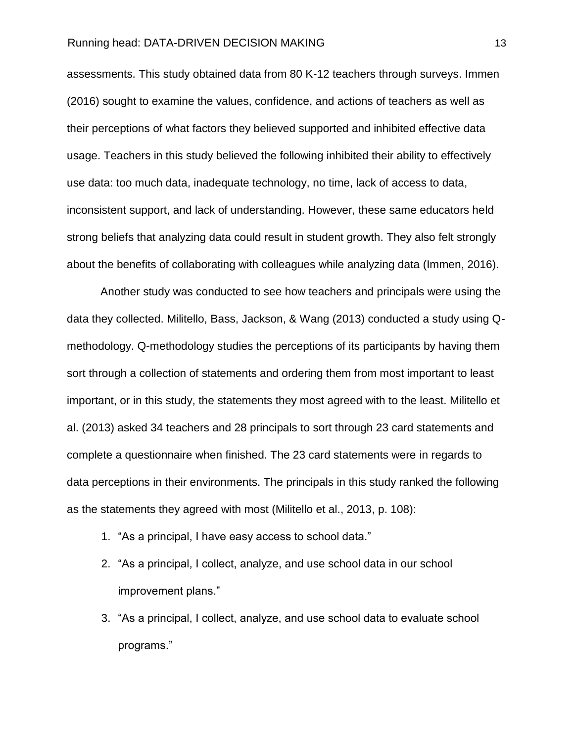assessments. This study obtained data from 80 K-12 teachers through surveys. Immen (2016) sought to examine the values, confidence, and actions of teachers as well as their perceptions of what factors they believed supported and inhibited effective data usage. Teachers in this study believed the following inhibited their ability to effectively use data: too much data, inadequate technology, no time, lack of access to data, inconsistent support, and lack of understanding. However, these same educators held strong beliefs that analyzing data could result in student growth. They also felt strongly about the benefits of collaborating with colleagues while analyzing data (Immen, 2016).

Another study was conducted to see how teachers and principals were using the data they collected. Militello, Bass, Jackson, & Wang (2013) conducted a study using Qmethodology. Q-methodology studies the perceptions of its participants by having them sort through a collection of statements and ordering them from most important to least important, or in this study, the statements they most agreed with to the least. Militello et al. (2013) asked 34 teachers and 28 principals to sort through 23 card statements and complete a questionnaire when finished. The 23 card statements were in regards to data perceptions in their environments. The principals in this study ranked the following as the statements they agreed with most (Militello et al., 2013, p. 108):

- 1. "As a principal, I have easy access to school data."
- 2. "As a principal, I collect, analyze, and use school data in our school improvement plans."
- 3. "As a principal, I collect, analyze, and use school data to evaluate school programs."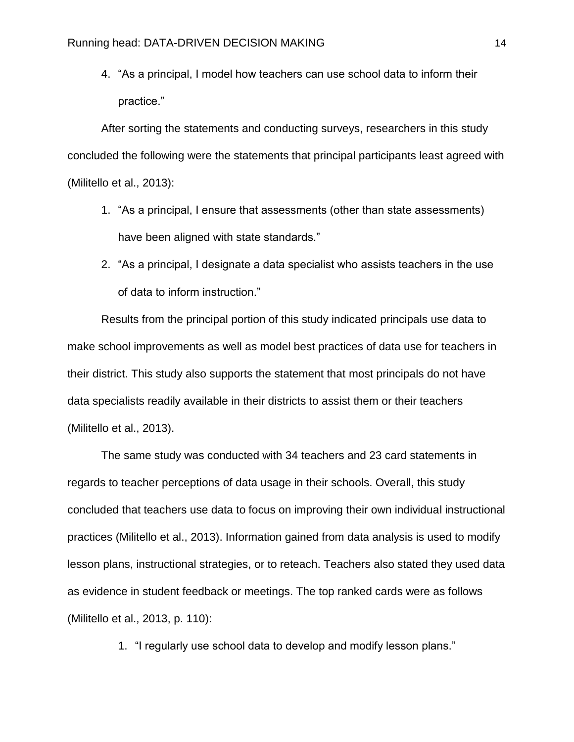4. "As a principal, I model how teachers can use school data to inform their practice."

After sorting the statements and conducting surveys, researchers in this study concluded the following were the statements that principal participants least agreed with (Militello et al., 2013):

- 1. "As a principal, I ensure that assessments (other than state assessments) have been aligned with state standards."
- 2. "As a principal, I designate a data specialist who assists teachers in the use of data to inform instruction."

Results from the principal portion of this study indicated principals use data to make school improvements as well as model best practices of data use for teachers in their district. This study also supports the statement that most principals do not have data specialists readily available in their districts to assist them or their teachers (Militello et al., 2013).

The same study was conducted with 34 teachers and 23 card statements in regards to teacher perceptions of data usage in their schools. Overall, this study concluded that teachers use data to focus on improving their own individual instructional practices (Militello et al., 2013). Information gained from data analysis is used to modify lesson plans, instructional strategies, or to reteach. Teachers also stated they used data as evidence in student feedback or meetings. The top ranked cards were as follows (Militello et al., 2013, p. 110):

1. "I regularly use school data to develop and modify lesson plans."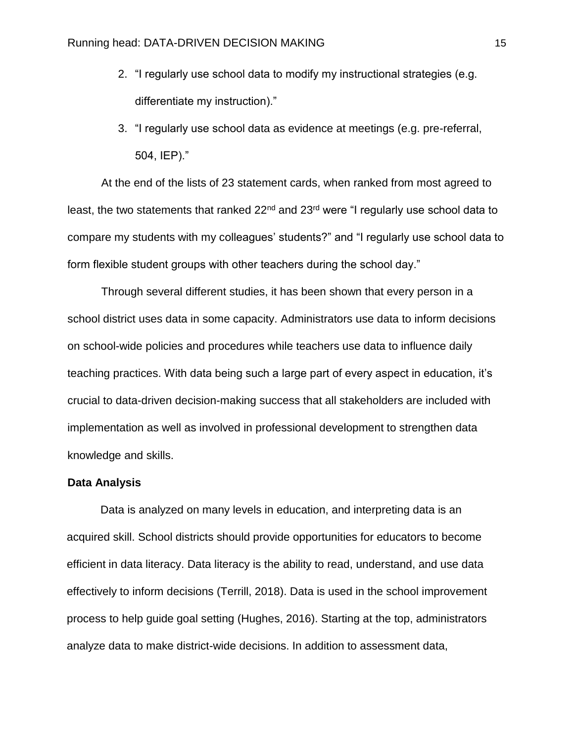- 2. "I regularly use school data to modify my instructional strategies (e.g. differentiate my instruction)."
- 3. "I regularly use school data as evidence at meetings (e.g. pre-referral, 504, IEP)."

At the end of the lists of 23 statement cards, when ranked from most agreed to least, the two statements that ranked 22<sup>nd</sup> and 23<sup>rd</sup> were "I regularly use school data to compare my students with my colleagues' students?" and "I regularly use school data to form flexible student groups with other teachers during the school day."

Through several different studies, it has been shown that every person in a school district uses data in some capacity. Administrators use data to inform decisions on school-wide policies and procedures while teachers use data to influence daily teaching practices. With data being such a large part of every aspect in education, it's crucial to data-driven decision-making success that all stakeholders are included with implementation as well as involved in professional development to strengthen data knowledge and skills.

#### **Data Analysis**

Data is analyzed on many levels in education, and interpreting data is an acquired skill. School districts should provide opportunities for educators to become efficient in data literacy. Data literacy is the ability to read, understand, and use data effectively to inform decisions (Terrill, 2018). Data is used in the school improvement process to help guide goal setting (Hughes, 2016). Starting at the top, administrators analyze data to make district-wide decisions. In addition to assessment data,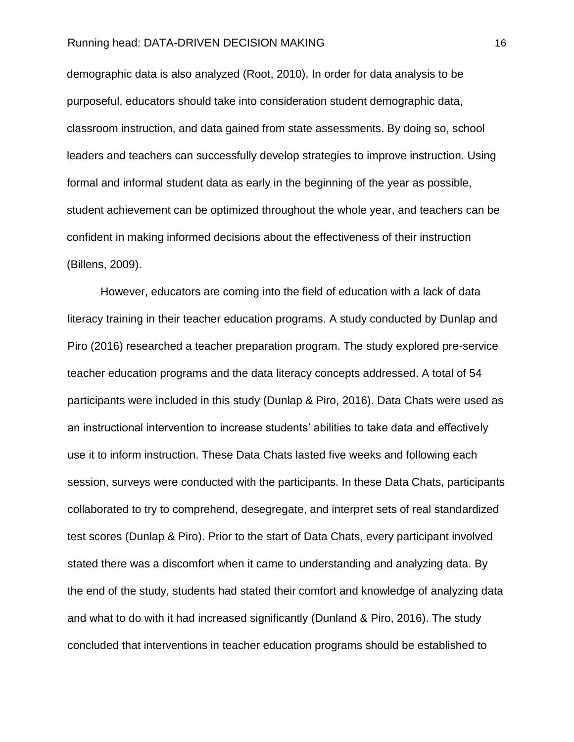demographic data is also analyzed (Root, 2010). In order for data analysis to be purposeful, educators should take into consideration student demographic data, classroom instruction, and data gained from state assessments. By doing so, school leaders and teachers can successfully develop strategies to improve instruction. Using formal and informal student data as early in the beginning of the year as possible, student achievement can be optimized throughout the whole year, and teachers can be confident in making informed decisions about the effectiveness of their instruction (Billens, 2009).

However, educators are coming into the field of education with a lack of data literacy training in their teacher education programs. A study conducted by Dunlap and Piro (2016) researched a teacher preparation program. The study explored pre-service teacher education programs and the data literacy concepts addressed. A total of 54 participants were included in this study (Dunlap & Piro, 2016). Data Chats were used as an instructional intervention to increase students' abilities to take data and effectively use it to inform instruction. These Data Chats lasted five weeks and following each session, surveys were conducted with the participants. In these Data Chats, participants collaborated to try to comprehend, desegregate, and interpret sets of real standardized test scores (Dunlap & Piro). Prior to the start of Data Chats, every participant involved stated there was a discomfort when it came to understanding and analyzing data. By the end of the study, students had stated their comfort and knowledge of analyzing data and what to do with it had increased significantly (Dunland & Piro, 2016). The study concluded that interventions in teacher education programs should be established to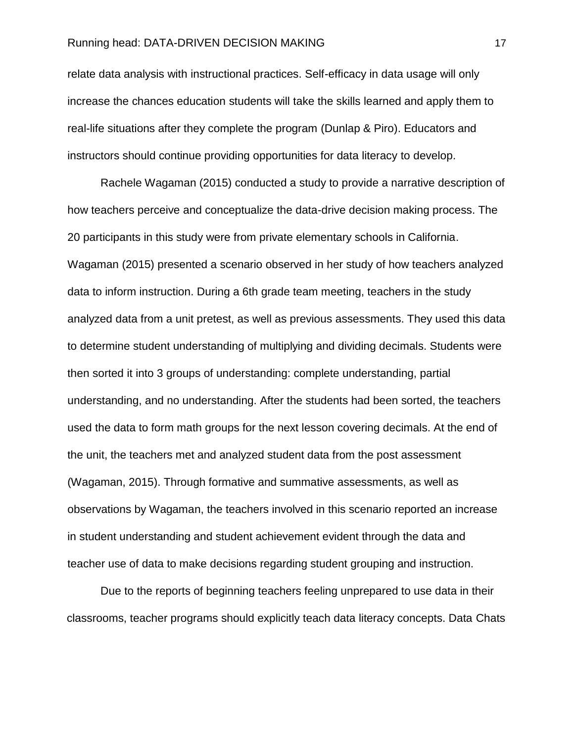relate data analysis with instructional practices. Self-efficacy in data usage will only increase the chances education students will take the skills learned and apply them to real-life situations after they complete the program (Dunlap & Piro). Educators and instructors should continue providing opportunities for data literacy to develop.

Rachele Wagaman (2015) conducted a study to provide a narrative description of how teachers perceive and conceptualize the data-drive decision making process. The 20 participants in this study were from private elementary schools in California. Wagaman (2015) presented a scenario observed in her study of how teachers analyzed data to inform instruction. During a 6th grade team meeting, teachers in the study analyzed data from a unit pretest, as well as previous assessments. They used this data to determine student understanding of multiplying and dividing decimals. Students were then sorted it into 3 groups of understanding: complete understanding, partial understanding, and no understanding. After the students had been sorted, the teachers used the data to form math groups for the next lesson covering decimals. At the end of the unit, the teachers met and analyzed student data from the post assessment (Wagaman, 2015). Through formative and summative assessments, as well as observations by Wagaman, the teachers involved in this scenario reported an increase in student understanding and student achievement evident through the data and teacher use of data to make decisions regarding student grouping and instruction.

Due to the reports of beginning teachers feeling unprepared to use data in their classrooms, teacher programs should explicitly teach data literacy concepts. Data Chats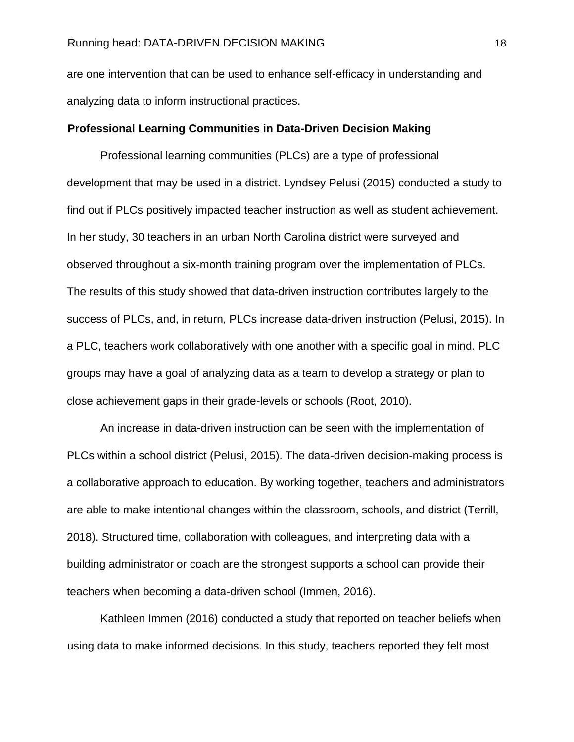are one intervention that can be used to enhance self-efficacy in understanding and analyzing data to inform instructional practices.

#### **Professional Learning Communities in Data-Driven Decision Making**

Professional learning communities (PLCs) are a type of professional development that may be used in a district. Lyndsey Pelusi (2015) conducted a study to find out if PLCs positively impacted teacher instruction as well as student achievement. In her study, 30 teachers in an urban North Carolina district were surveyed and observed throughout a six-month training program over the implementation of PLCs. The results of this study showed that data-driven instruction contributes largely to the success of PLCs, and, in return, PLCs increase data-driven instruction (Pelusi, 2015). In a PLC, teachers work collaboratively with one another with a specific goal in mind. PLC groups may have a goal of analyzing data as a team to develop a strategy or plan to close achievement gaps in their grade-levels or schools (Root, 2010).

An increase in data-driven instruction can be seen with the implementation of PLCs within a school district (Pelusi, 2015). The data-driven decision-making process is a collaborative approach to education. By working together, teachers and administrators are able to make intentional changes within the classroom, schools, and district (Terrill, 2018). Structured time, collaboration with colleagues, and interpreting data with a building administrator or coach are the strongest supports a school can provide their teachers when becoming a data-driven school (Immen, 2016).

Kathleen Immen (2016) conducted a study that reported on teacher beliefs when using data to make informed decisions. In this study, teachers reported they felt most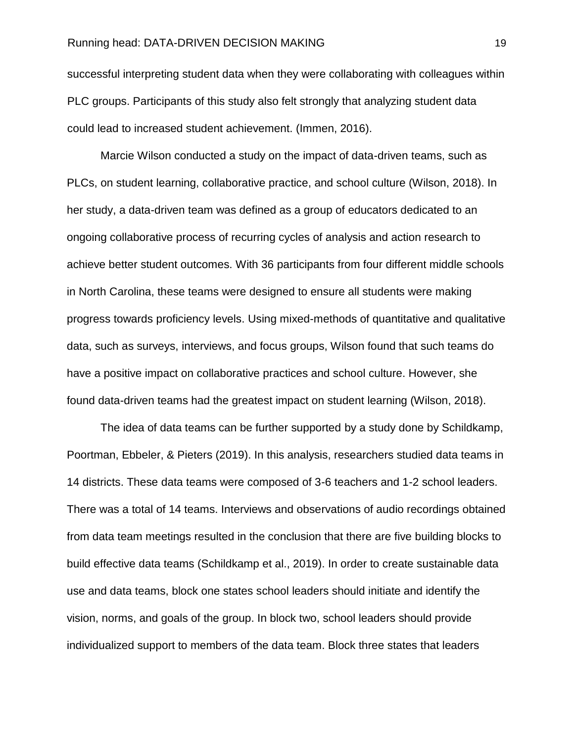successful interpreting student data when they were collaborating with colleagues within PLC groups. Participants of this study also felt strongly that analyzing student data could lead to increased student achievement. (Immen, 2016).

Marcie Wilson conducted a study on the impact of data-driven teams, such as PLCs, on student learning, collaborative practice, and school culture (Wilson, 2018). In her study, a data-driven team was defined as a group of educators dedicated to an ongoing collaborative process of recurring cycles of analysis and action research to achieve better student outcomes. With 36 participants from four different middle schools in North Carolina, these teams were designed to ensure all students were making progress towards proficiency levels. Using mixed-methods of quantitative and qualitative data, such as surveys, interviews, and focus groups, Wilson found that such teams do have a positive impact on collaborative practices and school culture. However, she found data-driven teams had the greatest impact on student learning (Wilson, 2018).

The idea of data teams can be further supported by a study done by Schildkamp, Poortman, Ebbeler, & Pieters (2019). In this analysis, researchers studied data teams in 14 districts. These data teams were composed of 3-6 teachers and 1-2 school leaders. There was a total of 14 teams. Interviews and observations of audio recordings obtained from data team meetings resulted in the conclusion that there are five building blocks to build effective data teams (Schildkamp et al., 2019). In order to create sustainable data use and data teams, block one states school leaders should initiate and identify the vision, norms, and goals of the group. In block two, school leaders should provide individualized support to members of the data team. Block three states that leaders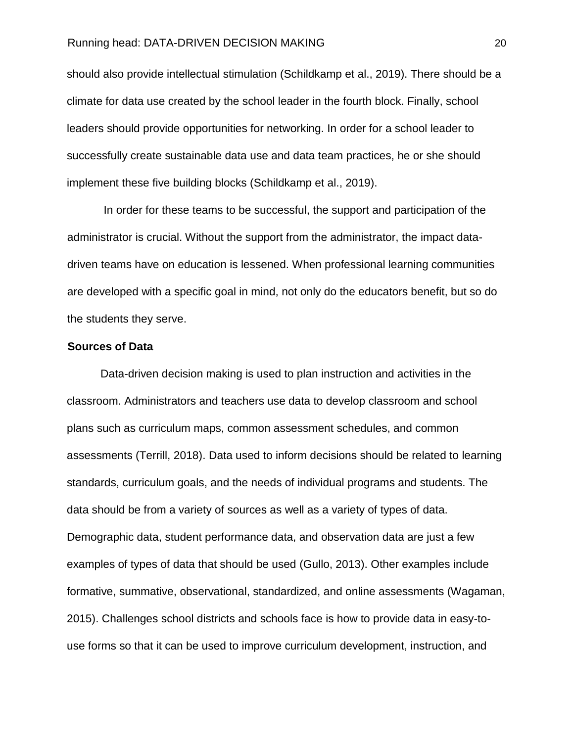should also provide intellectual stimulation (Schildkamp et al., 2019). There should be a climate for data use created by the school leader in the fourth block. Finally, school leaders should provide opportunities for networking. In order for a school leader to successfully create sustainable data use and data team practices, he or she should implement these five building blocks (Schildkamp et al., 2019).

In order for these teams to be successful, the support and participation of the administrator is crucial. Without the support from the administrator, the impact datadriven teams have on education is lessened. When professional learning communities are developed with a specific goal in mind, not only do the educators benefit, but so do the students they serve.

#### **Sources of Data**

Data-driven decision making is used to plan instruction and activities in the classroom. Administrators and teachers use data to develop classroom and school plans such as curriculum maps, common assessment schedules, and common assessments (Terrill, 2018). Data used to inform decisions should be related to learning standards, curriculum goals, and the needs of individual programs and students. The data should be from a variety of sources as well as a variety of types of data. Demographic data, student performance data, and observation data are just a few examples of types of data that should be used (Gullo, 2013). Other examples include formative, summative, observational, standardized, and online assessments (Wagaman, 2015). Challenges school districts and schools face is how to provide data in easy-touse forms so that it can be used to improve curriculum development, instruction, and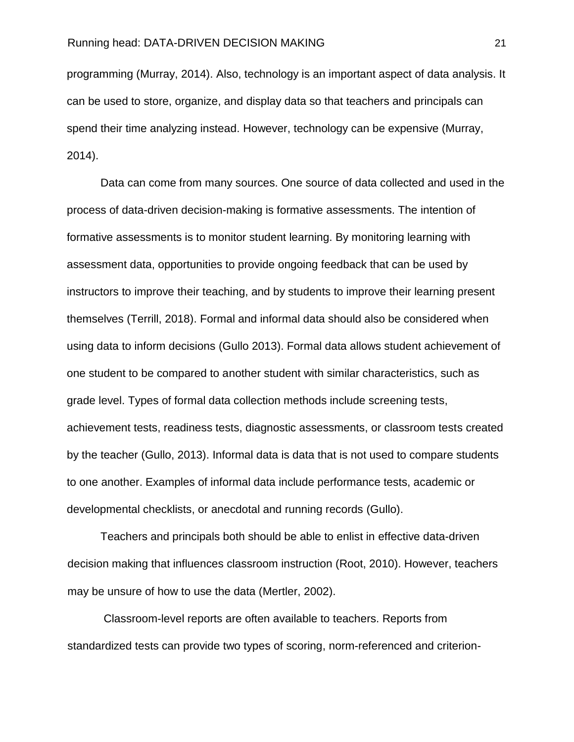#### Running head: DATA-DRIVEN DECISION MAKING **Example 21** 21

programming (Murray, 2014). Also, technology is an important aspect of data analysis. It can be used to store, organize, and display data so that teachers and principals can spend their time analyzing instead. However, technology can be expensive (Murray, 2014).

Data can come from many sources. One source of data collected and used in the process of data-driven decision-making is formative assessments. The intention of formative assessments is to monitor student learning. By monitoring learning with assessment data, opportunities to provide ongoing feedback that can be used by instructors to improve their teaching, and by students to improve their learning present themselves (Terrill, 2018). Formal and informal data should also be considered when using data to inform decisions (Gullo 2013). Formal data allows student achievement of one student to be compared to another student with similar characteristics, such as grade level. Types of formal data collection methods include screening tests, achievement tests, readiness tests, diagnostic assessments, or classroom tests created by the teacher (Gullo, 2013). Informal data is data that is not used to compare students to one another. Examples of informal data include performance tests, academic or developmental checklists, or anecdotal and running records (Gullo).

Teachers and principals both should be able to enlist in effective data-driven decision making that influences classroom instruction (Root, 2010). However, teachers may be unsure of how to use the data (Mertler, 2002).

Classroom-level reports are often available to teachers. Reports from standardized tests can provide two types of scoring, norm-referenced and criterion-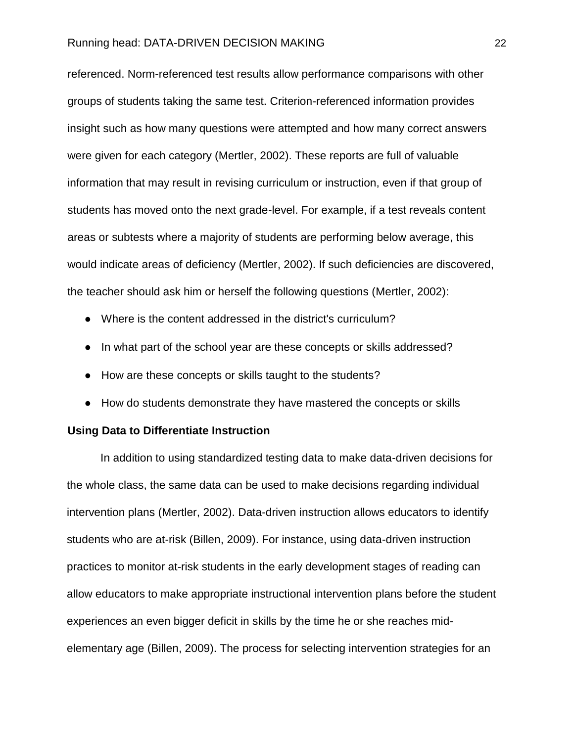referenced. Norm-referenced test results allow performance comparisons with other groups of students taking the same test. Criterion-referenced information provides insight such as how many questions were attempted and how many correct answers were given for each category (Mertler, 2002). These reports are full of valuable information that may result in revising curriculum or instruction, even if that group of students has moved onto the next grade-level. For example, if a test reveals content areas or subtests where a majority of students are performing below average, this would indicate areas of deficiency (Mertler, 2002). If such deficiencies are discovered, the teacher should ask him or herself the following questions (Mertler, 2002):

- Where is the content addressed in the district's curriculum?
- In what part of the school year are these concepts or skills addressed?
- How are these concepts or skills taught to the students?
- How do students demonstrate they have mastered the concepts or skills

#### **Using Data to Differentiate Instruction**

In addition to using standardized testing data to make data-driven decisions for the whole class, the same data can be used to make decisions regarding individual intervention plans (Mertler, 2002). Data-driven instruction allows educators to identify students who are at-risk (Billen, 2009). For instance, using data-driven instruction practices to monitor at-risk students in the early development stages of reading can allow educators to make appropriate instructional intervention plans before the student experiences an even bigger deficit in skills by the time he or she reaches midelementary age (Billen, 2009). The process for selecting intervention strategies for an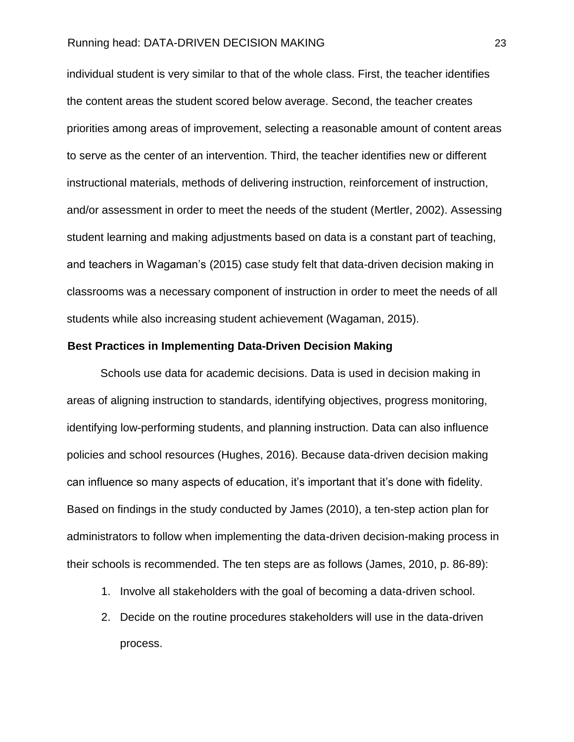individual student is very similar to that of the whole class. First, the teacher identifies the content areas the student scored below average. Second, the teacher creates priorities among areas of improvement, selecting a reasonable amount of content areas to serve as the center of an intervention. Third, the teacher identifies new or different instructional materials, methods of delivering instruction, reinforcement of instruction, and/or assessment in order to meet the needs of the student (Mertler, 2002). Assessing student learning and making adjustments based on data is a constant part of teaching, and teachers in Wagaman's (2015) case study felt that data-driven decision making in classrooms was a necessary component of instruction in order to meet the needs of all students while also increasing student achievement (Wagaman, 2015).

#### **Best Practices in Implementing Data-Driven Decision Making**

Schools use data for academic decisions. Data is used in decision making in areas of aligning instruction to standards, identifying objectives, progress monitoring, identifying low-performing students, and planning instruction. Data can also influence policies and school resources (Hughes, 2016). Because data-driven decision making can influence so many aspects of education, it's important that it's done with fidelity. Based on findings in the study conducted by James (2010), a ten-step action plan for administrators to follow when implementing the data-driven decision-making process in their schools is recommended. The ten steps are as follows (James, 2010, p. 86-89):

- 1. Involve all stakeholders with the goal of becoming a data-driven school.
- 2. Decide on the routine procedures stakeholders will use in the data-driven process.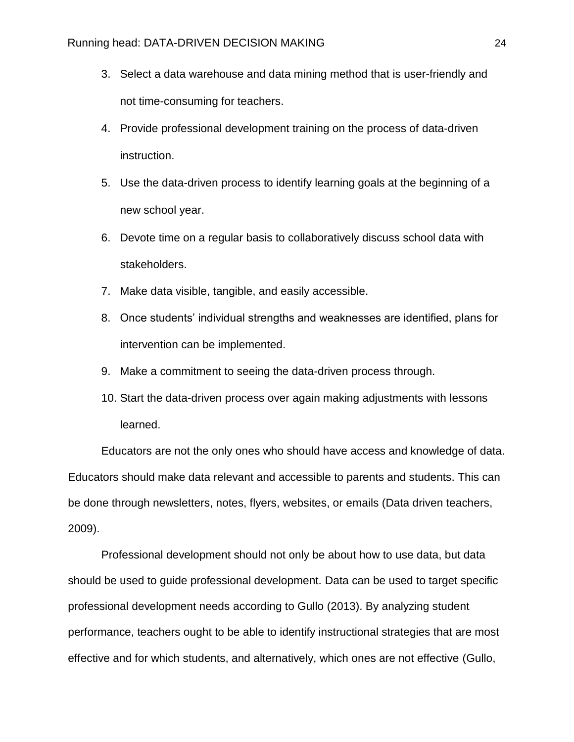- 3. Select a data warehouse and data mining method that is user-friendly and not time-consuming for teachers.
- 4. Provide professional development training on the process of data-driven instruction.
- 5. Use the data-driven process to identify learning goals at the beginning of a new school year.
- 6. Devote time on a regular basis to collaboratively discuss school data with stakeholders.
- 7. Make data visible, tangible, and easily accessible.
- 8. Once students' individual strengths and weaknesses are identified, plans for intervention can be implemented.
- 9. Make a commitment to seeing the data-driven process through.
- 10. Start the data-driven process over again making adjustments with lessons learned.

Educators are not the only ones who should have access and knowledge of data. Educators should make data relevant and accessible to parents and students. This can be done through newsletters, notes, flyers, websites, or emails (Data driven teachers, 2009).

Professional development should not only be about how to use data, but data should be used to guide professional development. Data can be used to target specific professional development needs according to Gullo (2013). By analyzing student performance, teachers ought to be able to identify instructional strategies that are most effective and for which students, and alternatively, which ones are not effective (Gullo,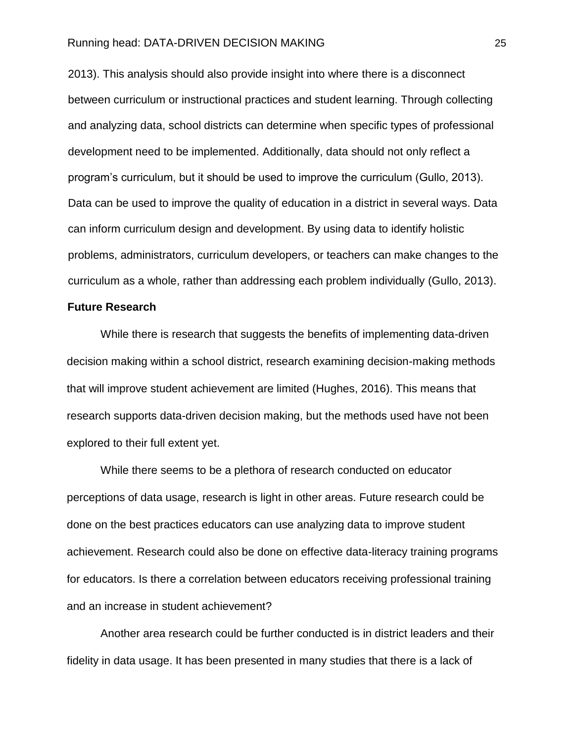2013). This analysis should also provide insight into where there is a disconnect between curriculum or instructional practices and student learning. Through collecting and analyzing data, school districts can determine when specific types of professional development need to be implemented. Additionally, data should not only reflect a program's curriculum, but it should be used to improve the curriculum (Gullo, 2013). Data can be used to improve the quality of education in a district in several ways. Data can inform curriculum design and development. By using data to identify holistic problems, administrators, curriculum developers, or teachers can make changes to the curriculum as a whole, rather than addressing each problem individually (Gullo, 2013).

#### **Future Research**

While there is research that suggests the benefits of implementing data-driven decision making within a school district, research examining decision-making methods that will improve student achievement are limited (Hughes, 2016). This means that research supports data-driven decision making, but the methods used have not been explored to their full extent yet.

While there seems to be a plethora of research conducted on educator perceptions of data usage, research is light in other areas. Future research could be done on the best practices educators can use analyzing data to improve student achievement. Research could also be done on effective data-literacy training programs for educators. Is there a correlation between educators receiving professional training and an increase in student achievement?

Another area research could be further conducted is in district leaders and their fidelity in data usage. It has been presented in many studies that there is a lack of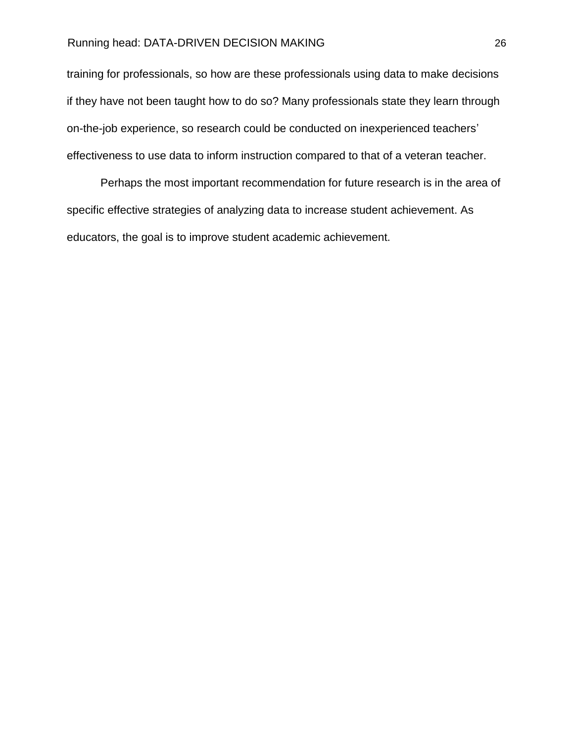training for professionals, so how are these professionals using data to make decisions if they have not been taught how to do so? Many professionals state they learn through on-the-job experience, so research could be conducted on inexperienced teachers' effectiveness to use data to inform instruction compared to that of a veteran teacher.

Perhaps the most important recommendation for future research is in the area of specific effective strategies of analyzing data to increase student achievement. As educators, the goal is to improve student academic achievement.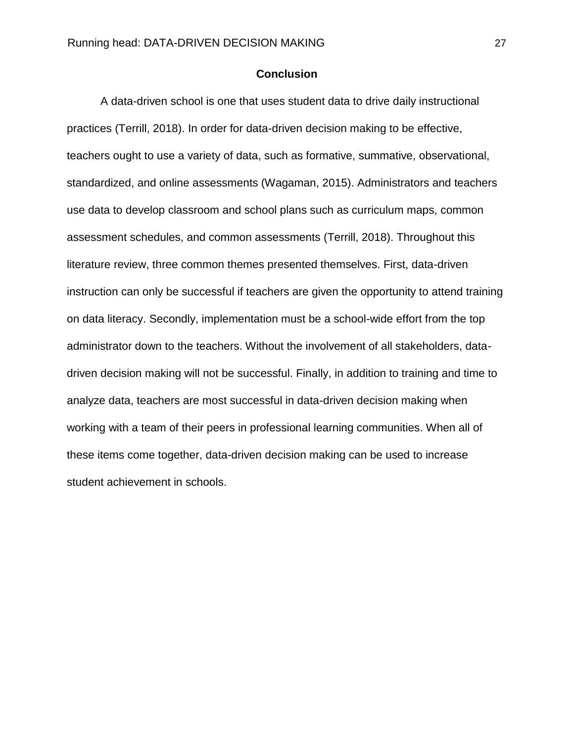#### **Conclusion**

A data-driven school is one that uses student data to drive daily instructional practices (Terrill, 2018). In order for data-driven decision making to be effective, teachers ought to use a variety of data, such as formative, summative, observational, standardized, and online assessments (Wagaman, 2015). Administrators and teachers use data to develop classroom and school plans such as curriculum maps, common assessment schedules, and common assessments (Terrill, 2018). Throughout this literature review, three common themes presented themselves. First, data-driven instruction can only be successful if teachers are given the opportunity to attend training on data literacy. Secondly, implementation must be a school-wide effort from the top administrator down to the teachers. Without the involvement of all stakeholders, datadriven decision making will not be successful. Finally, in addition to training and time to analyze data, teachers are most successful in data-driven decision making when working with a team of their peers in professional learning communities. When all of these items come together, data-driven decision making can be used to increase student achievement in schools.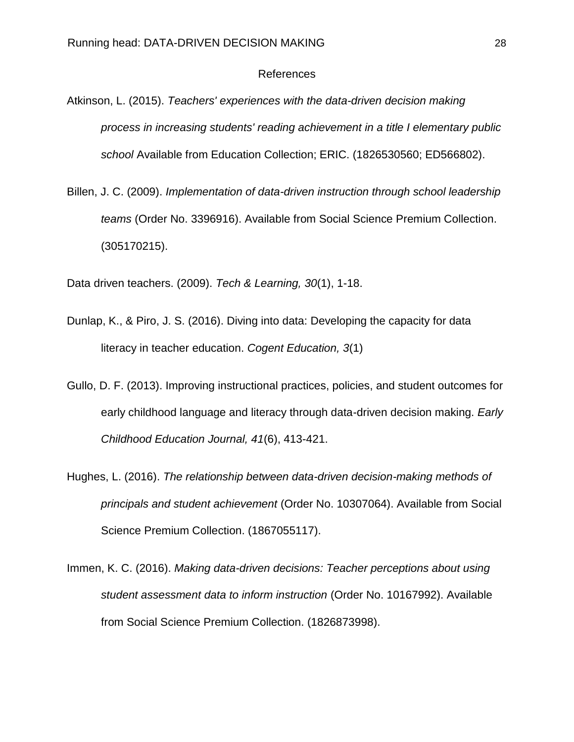#### References

- Atkinson, L. (2015). *Teachers' experiences with the data-driven decision making process in increasing students' reading achievement in a title I elementary public school* Available from Education Collection; ERIC. (1826530560; ED566802).
- Billen, J. C. (2009). *Implementation of data-driven instruction through school leadership teams* (Order No. 3396916). Available from Social Science Premium Collection. (305170215).

Data driven teachers. (2009). *Tech & Learning, 30*(1), 1-18.

- Dunlap, K., & Piro, J. S. (2016). Diving into data: Developing the capacity for data literacy in teacher education. *Cogent Education, 3*(1)
- Gullo, D. F. (2013). Improving instructional practices, policies, and student outcomes for early childhood language and literacy through data-driven decision making. *Early Childhood Education Journal, 41*(6), 413-421.
- Hughes, L. (2016). *The relationship between data-driven decision-making methods of principals and student achievement* (Order No. 10307064). Available from Social Science Premium Collection. (1867055117).
- Immen, K. C. (2016). *Making data-driven decisions: Teacher perceptions about using student assessment data to inform instruction* (Order No. 10167992). Available from Social Science Premium Collection. (1826873998).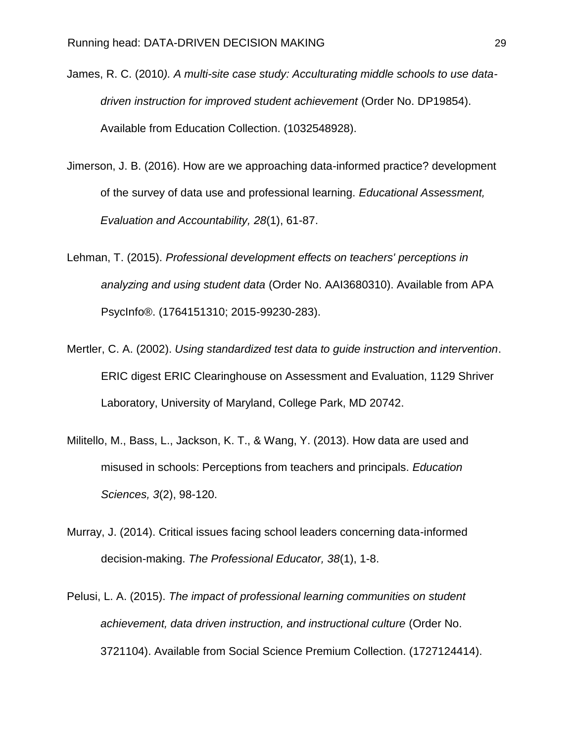- James, R. C. (2010*). A multi-site case study: Acculturating middle schools to use datadriven instruction for improved student achievement* (Order No. DP19854). Available from Education Collection. (1032548928).
- Jimerson, J. B. (2016). How are we approaching data-informed practice? development of the survey of data use and professional learning. *Educational Assessment, Evaluation and Accountability, 28*(1), 61-87.
- Lehman, T. (2015). *Professional development effects on teachers' perceptions in analyzing and using student data* (Order No. AAI3680310). Available from APA PsycInfo®. (1764151310; 2015-99230-283).
- Mertler, C. A. (2002). *Using standardized test data to guide instruction and intervention*. ERIC digest ERIC Clearinghouse on Assessment and Evaluation, 1129 Shriver Laboratory, University of Maryland, College Park, MD 20742.
- Militello, M., Bass, L., Jackson, K. T., & Wang, Y. (2013). How data are used and misused in schools: Perceptions from teachers and principals. *Education Sciences, 3*(2), 98-120.
- Murray, J. (2014). Critical issues facing school leaders concerning data-informed decision-making. *The Professional Educator, 38*(1), 1-8.
- Pelusi, L. A. (2015). *The impact of professional learning communities on student achievement, data driven instruction, and instructional culture* (Order No. 3721104). Available from Social Science Premium Collection. (1727124414).